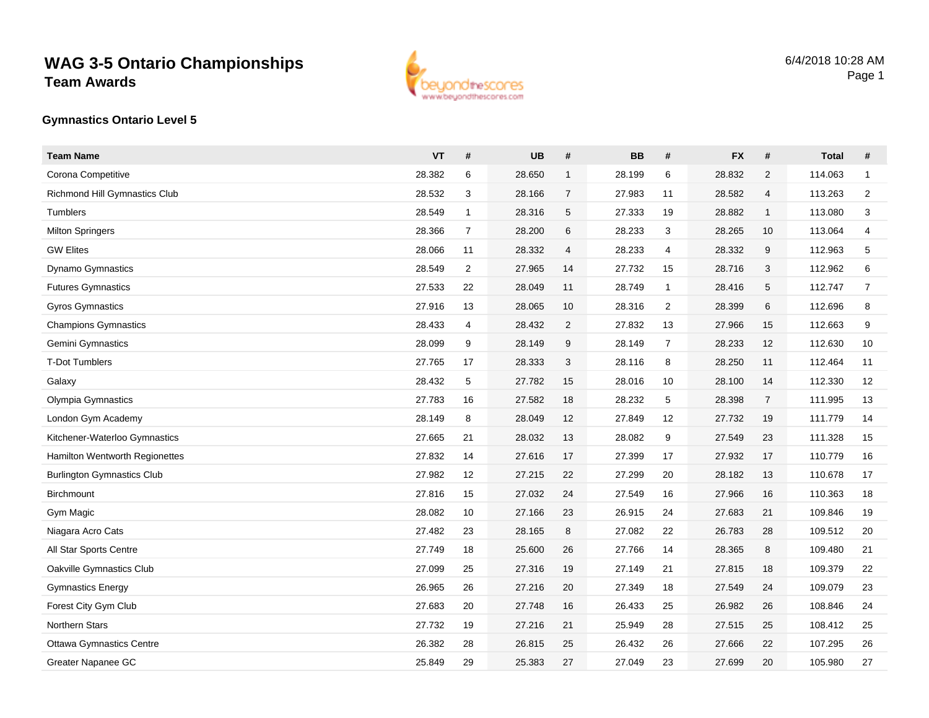## **WAG 3-5 Ontario ChampionshipsTeam Awards**



## **Gymnastics Ontario Level 5**

| <b>Team Name</b>                      | <b>VT</b> | #              | <b>UB</b> | #              | <b>BB</b> | #              | <b>FX</b> | $\#$           | <b>Total</b> | #                       |
|---------------------------------------|-----------|----------------|-----------|----------------|-----------|----------------|-----------|----------------|--------------|-------------------------|
| Corona Competitive                    | 28.382    | 6              | 28.650    | $\mathbf 1$    | 28.199    | 6              | 28.832    | 2              | 114.063      | $\mathbf{1}$            |
| Richmond Hill Gymnastics Club         | 28.532    | 3              | 28.166    | $\overline{7}$ | 27.983    | 11             | 28.582    | 4              | 113.263      | $\overline{2}$          |
| Tumblers                              | 28.549    | $\mathbf{1}$   | 28.316    | 5              | 27.333    | 19             | 28.882    | $\mathbf{1}$   | 113.080      | 3                       |
| <b>Milton Springers</b>               | 28.366    | $\overline{7}$ | 28.200    | 6              | 28.233    | 3              | 28.265    | 10             | 113.064      | $\overline{\mathbf{4}}$ |
| <b>GW Elites</b>                      | 28.066    | 11             | 28.332    | 4              | 28.233    | $\overline{4}$ | 28.332    | 9              | 112.963      | 5                       |
| <b>Dynamo Gymnastics</b>              | 28.549    | $\overline{2}$ | 27.965    | 14             | 27.732    | 15             | 28.716    | 3              | 112.962      | 6                       |
| <b>Futures Gymnastics</b>             | 27.533    | 22             | 28.049    | 11             | 28.749    | $\overline{1}$ | 28.416    | 5              | 112.747      | $\overline{7}$          |
| <b>Gyros Gymnastics</b>               | 27.916    | 13             | 28.065    | 10             | 28.316    | $\overline{2}$ | 28.399    | 6              | 112.696      | 8                       |
| <b>Champions Gymnastics</b>           | 28.433    | 4              | 28.432    | $\overline{c}$ | 27.832    | 13             | 27.966    | 15             | 112.663      | 9                       |
| Gemini Gymnastics                     | 28.099    | 9              | 28.149    | 9              | 28.149    | $\overline{7}$ | 28.233    | 12             | 112.630      | 10                      |
| <b>T-Dot Tumblers</b>                 | 27.765    | 17             | 28.333    | 3              | 28.116    | 8              | 28.250    | 11             | 112.464      | 11                      |
| Galaxy                                | 28.432    | 5              | 27.782    | 15             | 28.016    | 10             | 28.100    | 14             | 112.330      | 12                      |
| Olympia Gymnastics                    | 27.783    | 16             | 27.582    | 18             | 28.232    | 5              | 28.398    | $\overline{7}$ | 111.995      | 13                      |
| London Gym Academy                    | 28.149    | 8              | 28.049    | 12             | 27.849    | 12             | 27.732    | 19             | 111.779      | 14                      |
| Kitchener-Waterloo Gymnastics         | 27.665    | 21             | 28.032    | 13             | 28.082    | 9              | 27.549    | 23             | 111.328      | 15                      |
| <b>Hamilton Wentworth Regionettes</b> | 27.832    | 14             | 27.616    | 17             | 27.399    | 17             | 27.932    | 17             | 110.779      | 16                      |
| <b>Burlington Gymnastics Club</b>     | 27.982    | 12             | 27.215    | 22             | 27.299    | 20             | 28.182    | 13             | 110.678      | 17                      |
| Birchmount                            | 27.816    | 15             | 27.032    | 24             | 27.549    | 16             | 27.966    | 16             | 110.363      | 18                      |
| Gym Magic                             | 28.082    | 10             | 27.166    | 23             | 26.915    | 24             | 27.683    | 21             | 109.846      | 19                      |
| Niagara Acro Cats                     | 27.482    | 23             | 28.165    | 8              | 27.082    | 22             | 26.783    | 28             | 109.512      | 20                      |
| All Star Sports Centre                | 27.749    | 18             | 25.600    | 26             | 27.766    | 14             | 28.365    | 8              | 109.480      | 21                      |
| Oakville Gymnastics Club              | 27.099    | 25             | 27.316    | 19             | 27.149    | 21             | 27.815    | 18             | 109.379      | 22                      |
| <b>Gymnastics Energy</b>              | 26.965    | 26             | 27.216    | 20             | 27.349    | 18             | 27.549    | 24             | 109.079      | 23                      |
| Forest City Gym Club                  | 27.683    | 20             | 27.748    | 16             | 26.433    | 25             | 26.982    | 26             | 108.846      | 24                      |
| Northern Stars                        | 27.732    | 19             | 27.216    | 21             | 25.949    | 28             | 27.515    | 25             | 108.412      | 25                      |
| <b>Ottawa Gymnastics Centre</b>       | 26.382    | 28             | 26.815    | 25             | 26.432    | 26             | 27.666    | 22             | 107.295      | 26                      |
| Greater Napanee GC                    | 25.849    | 29             | 25.383    | 27             | 27.049    | 23             | 27.699    | 20             | 105.980      | 27                      |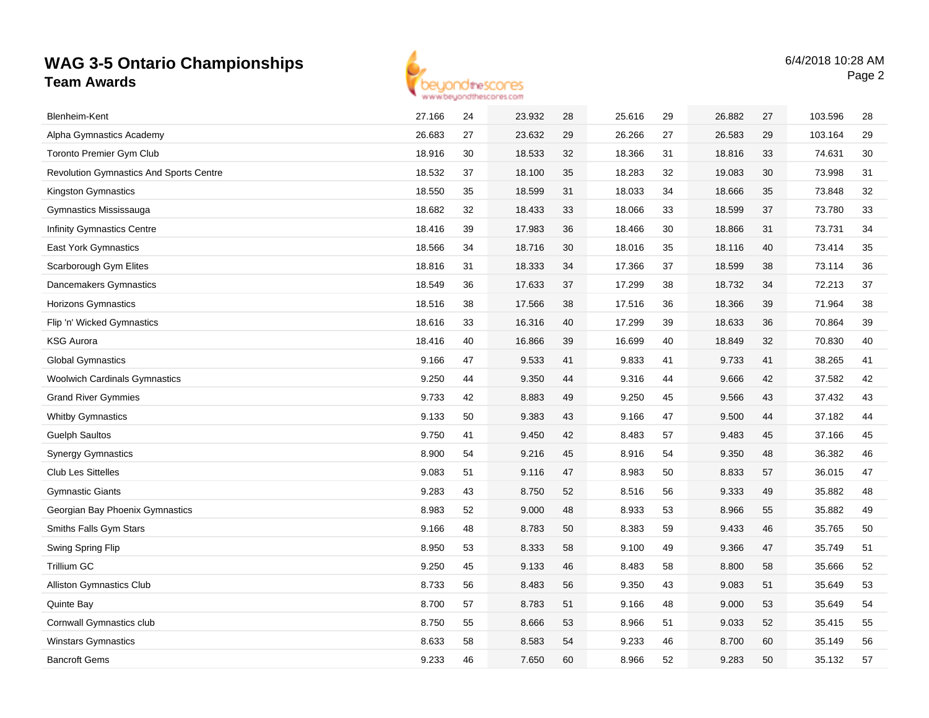## **WAG 3-5 Ontario ChampionshipsTeam Awards**



| Blenheim-Kent                                  | 27.166 | 24 | 23.932 | 28 | 25.616 | 29 | 26.882 | 27 | 103.596 | 28 |
|------------------------------------------------|--------|----|--------|----|--------|----|--------|----|---------|----|
| Alpha Gymnastics Academy                       | 26.683 | 27 | 23.632 | 29 | 26.266 | 27 | 26.583 | 29 | 103.164 | 29 |
| <b>Toronto Premier Gym Club</b>                | 18.916 | 30 | 18.533 | 32 | 18.366 | 31 | 18.816 | 33 | 74.631  | 30 |
| <b>Revolution Gymnastics And Sports Centre</b> | 18.532 | 37 | 18.100 | 35 | 18.283 | 32 | 19.083 | 30 | 73.998  | 31 |
| Kingston Gymnastics                            | 18.550 | 35 | 18.599 | 31 | 18.033 | 34 | 18.666 | 35 | 73.848  | 32 |
| Gymnastics Mississauga                         | 18.682 | 32 | 18.433 | 33 | 18.066 | 33 | 18.599 | 37 | 73.780  | 33 |
| <b>Infinity Gymnastics Centre</b>              | 18.416 | 39 | 17.983 | 36 | 18.466 | 30 | 18.866 | 31 | 73.731  | 34 |
| <b>East York Gymnastics</b>                    | 18.566 | 34 | 18.716 | 30 | 18.016 | 35 | 18.116 | 40 | 73.414  | 35 |
| Scarborough Gym Elites                         | 18.816 | 31 | 18.333 | 34 | 17.366 | 37 | 18.599 | 38 | 73.114  | 36 |
| Dancemakers Gymnastics                         | 18.549 | 36 | 17.633 | 37 | 17.299 | 38 | 18.732 | 34 | 72.213  | 37 |
| Horizons Gymnastics                            | 18.516 | 38 | 17.566 | 38 | 17.516 | 36 | 18.366 | 39 | 71.964  | 38 |
| Flip 'n' Wicked Gymnastics                     | 18.616 | 33 | 16.316 | 40 | 17.299 | 39 | 18.633 | 36 | 70.864  | 39 |
| <b>KSG Aurora</b>                              | 18.416 | 40 | 16.866 | 39 | 16.699 | 40 | 18.849 | 32 | 70.830  | 40 |
| <b>Global Gymnastics</b>                       | 9.166  | 47 | 9.533  | 41 | 9.833  | 41 | 9.733  | 41 | 38.265  | 41 |
| <b>Woolwich Cardinals Gymnastics</b>           | 9.250  | 44 | 9.350  | 44 | 9.316  | 44 | 9.666  | 42 | 37.582  | 42 |
| <b>Grand River Gymmies</b>                     | 9.733  | 42 | 8.883  | 49 | 9.250  | 45 | 9.566  | 43 | 37.432  | 43 |
| <b>Whitby Gymnastics</b>                       | 9.133  | 50 | 9.383  | 43 | 9.166  | 47 | 9.500  | 44 | 37.182  | 44 |
| <b>Guelph Saultos</b>                          | 9.750  | 41 | 9.450  | 42 | 8.483  | 57 | 9.483  | 45 | 37.166  | 45 |
| <b>Synergy Gymnastics</b>                      | 8.900  | 54 | 9.216  | 45 | 8.916  | 54 | 9.350  | 48 | 36.382  | 46 |
| <b>Club Les Sittelles</b>                      | 9.083  | 51 | 9.116  | 47 | 8.983  | 50 | 8.833  | 57 | 36.015  | 47 |
| <b>Gymnastic Giants</b>                        | 9.283  | 43 | 8.750  | 52 | 8.516  | 56 | 9.333  | 49 | 35.882  | 48 |
| Georgian Bay Phoenix Gymnastics                | 8.983  | 52 | 9.000  | 48 | 8.933  | 53 | 8.966  | 55 | 35.882  | 49 |
| Smiths Falls Gym Stars                         | 9.166  | 48 | 8.783  | 50 | 8.383  | 59 | 9.433  | 46 | 35.765  | 50 |
| Swing Spring Flip                              | 8.950  | 53 | 8.333  | 58 | 9.100  | 49 | 9.366  | 47 | 35.749  | 51 |
| <b>Trillium GC</b>                             | 9.250  | 45 | 9.133  | 46 | 8.483  | 58 | 8.800  | 58 | 35.666  | 52 |
| <b>Alliston Gymnastics Club</b>                | 8.733  | 56 | 8.483  | 56 | 9.350  | 43 | 9.083  | 51 | 35.649  | 53 |
| <b>Quinte Bay</b>                              | 8.700  | 57 | 8.783  | 51 | 9.166  | 48 | 9.000  | 53 | 35.649  | 54 |
| Cornwall Gymnastics club                       | 8.750  | 55 | 8.666  | 53 | 8.966  | 51 | 9.033  | 52 | 35.415  | 55 |
| <b>Winstars Gymnastics</b>                     | 8.633  | 58 | 8.583  | 54 | 9.233  | 46 | 8.700  | 60 | 35.149  | 56 |
| <b>Bancroft Gems</b>                           | 9.233  | 46 | 7.650  | 60 | 8.966  | 52 | 9.283  | 50 | 35.132  | 57 |